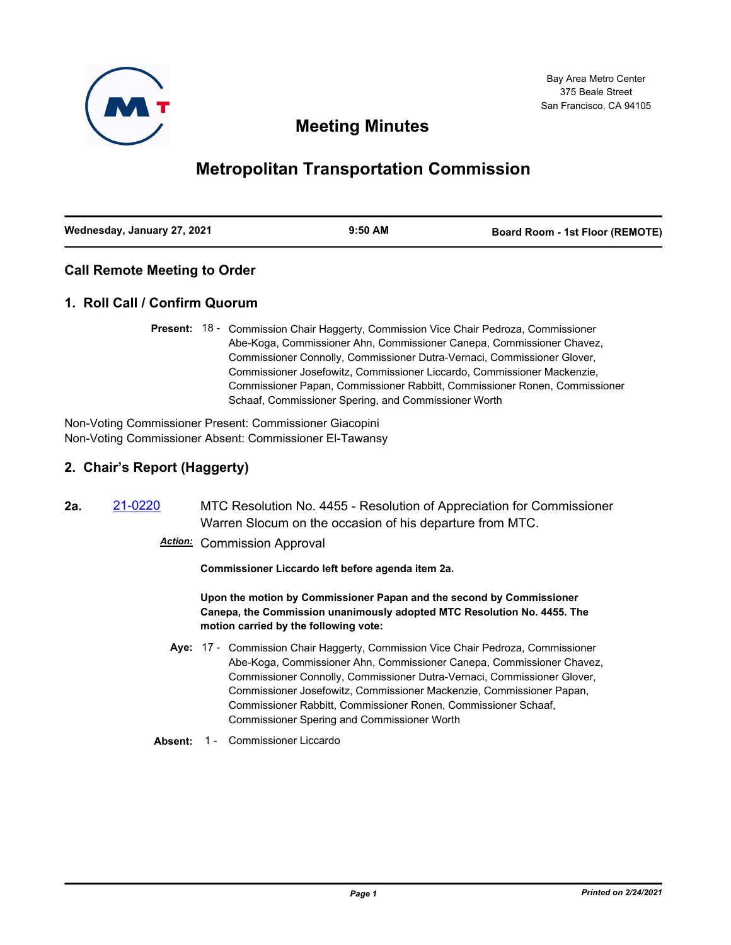

## **Meeting Minutes**

# **Metropolitan Transportation Commission**

| Wednesday, January 27, 2021 | $9:50$ AM | <b>Board Room - 1st Floor (REMOTE)</b> |
|-----------------------------|-----------|----------------------------------------|
|                             |           |                                        |

## **Call Remote Meeting to Order**

## **1. Roll Call / Confirm Quorum**

Present: 18 - Commission Chair Haggerty, Commission Vice Chair Pedroza, Commissioner Abe-Koga, Commissioner Ahn, Commissioner Canepa, Commissioner Chavez, Commissioner Connolly, Commissioner Dutra-Vernaci, Commissioner Glover, Commissioner Josefowitz, Commissioner Liccardo, Commissioner Mackenzie, Commissioner Papan, Commissioner Rabbitt, Commissioner Ronen, Commissioner Schaaf, Commissioner Spering, and Commissioner Worth

Non-Voting Commissioner Present: Commissioner Giacopini Non-Voting Commissioner Absent: Commissioner El-Tawansy

## **2. Chair's Report (Haggerty)**

**2a.** [21-0220](http://mtc.legistar.com/gateway.aspx?m=l&id=/matter.aspx?key=21813) MTC Resolution No. 4455 - Resolution of Appreciation for Commissioner Warren Slocum on the occasion of his departure from MTC.

*Action:* Commission Approval

**Commissioner Liccardo left before agenda item 2a.**

**Upon the motion by Commissioner Papan and the second by Commissioner Canepa, the Commission unanimously adopted MTC Resolution No. 4455. The motion carried by the following vote:**

- Aye: 17 Commission Chair Haggerty, Commission Vice Chair Pedroza, Commissioner Abe-Koga, Commissioner Ahn, Commissioner Canepa, Commissioner Chavez, Commissioner Connolly, Commissioner Dutra-Vernaci, Commissioner Glover, Commissioner Josefowitz, Commissioner Mackenzie, Commissioner Papan, Commissioner Rabbitt, Commissioner Ronen, Commissioner Schaaf, Commissioner Spering and Commissioner Worth
- Absent: 1 Commissioner Liccardo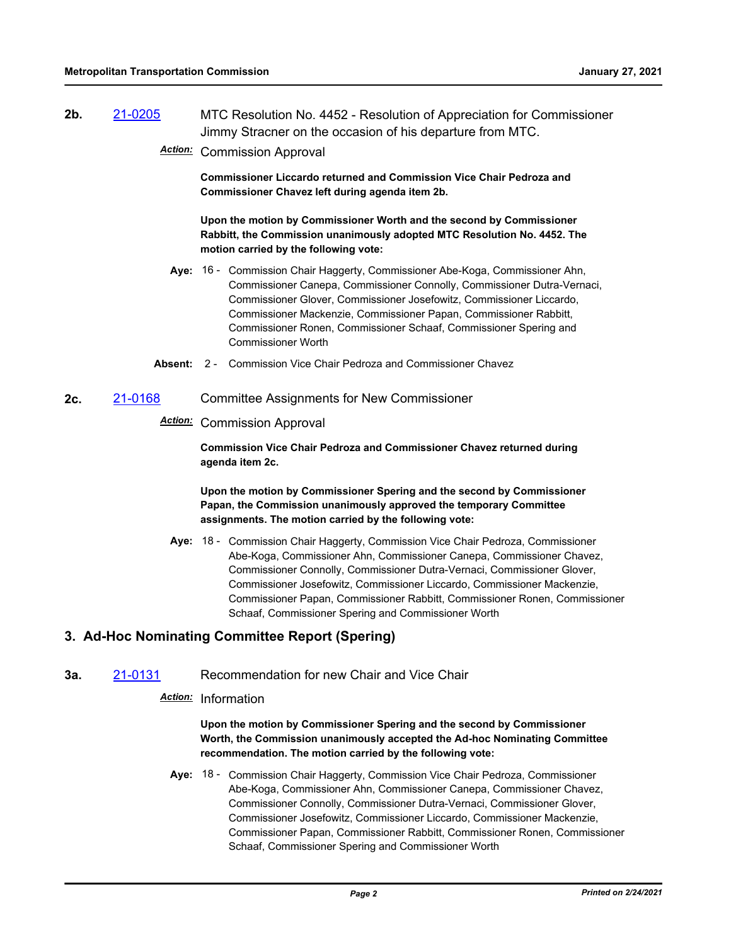- **2b.** [21-0205](http://mtc.legistar.com/gateway.aspx?m=l&id=/matter.aspx?key=21798) MTC Resolution No. 4452 Resolution of Appreciation for Commissioner Jimmy Stracner on the occasion of his departure from MTC.
	- *Action:* Commission Approval

**Commissioner Liccardo returned and Commission Vice Chair Pedroza and Commissioner Chavez left during agenda item 2b.**

**Upon the motion by Commissioner Worth and the second by Commissioner Rabbitt, the Commission unanimously adopted MTC Resolution No. 4452. The motion carried by the following vote:**

- Aye: 16 Commission Chair Haggerty, Commissioner Abe-Koga, Commissioner Ahn, Commissioner Canepa, Commissioner Connolly, Commissioner Dutra-Vernaci, Commissioner Glover, Commissioner Josefowitz, Commissioner Liccardo, Commissioner Mackenzie, Commissioner Papan, Commissioner Rabbitt, Commissioner Ronen, Commissioner Schaaf, Commissioner Spering and Commissioner Worth
- **Absent:** 2 Commission Vice Chair Pedroza and Commissioner Chavez
- **2c.** [21-0168](http://mtc.legistar.com/gateway.aspx?m=l&id=/matter.aspx?key=21761) Committee Assignments for New Commissioner

#### *Action:* Commission Approval

**Commission Vice Chair Pedroza and Commissioner Chavez returned during agenda item 2c.**

**Upon the motion by Commissioner Spering and the second by Commissioner Papan, the Commission unanimously approved the temporary Committee assignments. The motion carried by the following vote:**

Aye: 18 - Commission Chair Haggerty, Commission Vice Chair Pedroza, Commissioner Abe-Koga, Commissioner Ahn, Commissioner Canepa, Commissioner Chavez, Commissioner Connolly, Commissioner Dutra-Vernaci, Commissioner Glover, Commissioner Josefowitz, Commissioner Liccardo, Commissioner Mackenzie, Commissioner Papan, Commissioner Rabbitt, Commissioner Ronen, Commissioner Schaaf, Commissioner Spering and Commissioner Worth

## **3. Ad-Hoc Nominating Committee Report (Spering)**

**3a.** [21-0131](http://mtc.legistar.com/gateway.aspx?m=l&id=/matter.aspx?key=21724) Recommendation for new Chair and Vice Chair

## *Action:* Information

#### **Upon the motion by Commissioner Spering and the second by Commissioner Worth, the Commission unanimously accepted the Ad-hoc Nominating Committee recommendation. The motion carried by the following vote:**

Aye: 18 - Commission Chair Haggerty, Commission Vice Chair Pedroza, Commissioner Abe-Koga, Commissioner Ahn, Commissioner Canepa, Commissioner Chavez, Commissioner Connolly, Commissioner Dutra-Vernaci, Commissioner Glover, Commissioner Josefowitz, Commissioner Liccardo, Commissioner Mackenzie, Commissioner Papan, Commissioner Rabbitt, Commissioner Ronen, Commissioner Schaaf, Commissioner Spering and Commissioner Worth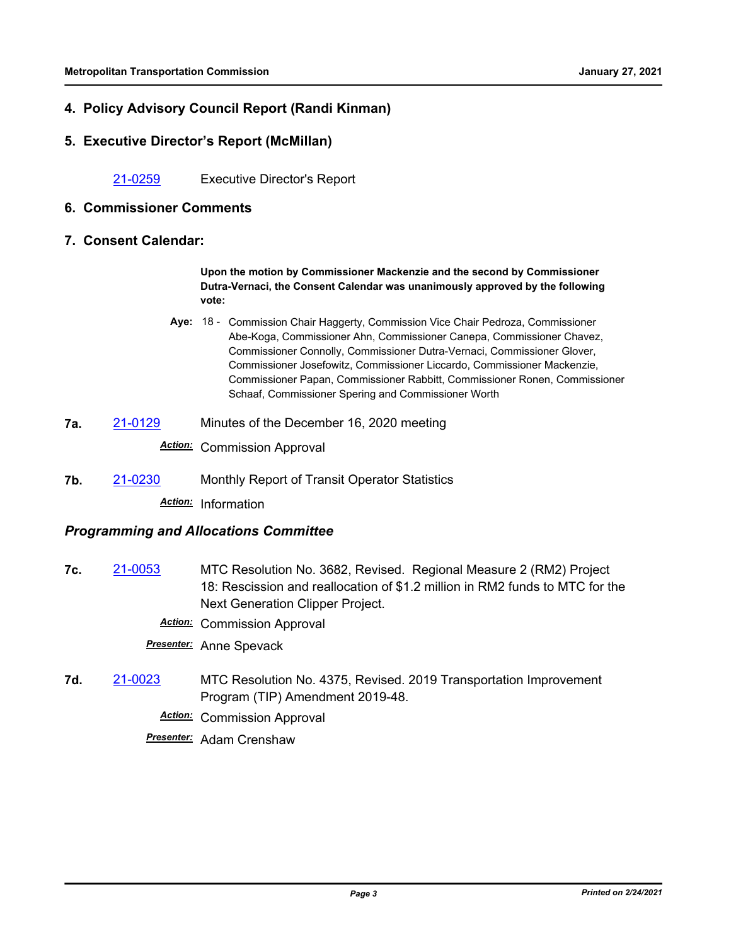## **4. Policy Advisory Council Report (Randi Kinman)**

#### **5. Executive Director's Report (McMillan)**

[21-0259](http://mtc.legistar.com/gateway.aspx?m=l&id=/matter.aspx?key=21852) Executive Director's Report

#### **6. Commissioner Comments**

**7. Consent Calendar:**

**Upon the motion by Commissioner Mackenzie and the second by Commissioner Dutra-Vernaci, the Consent Calendar was unanimously approved by the following vote:**

- Aye: 18 Commission Chair Haggerty, Commission Vice Chair Pedroza, Commissioner Abe-Koga, Commissioner Ahn, Commissioner Canepa, Commissioner Chavez, Commissioner Connolly, Commissioner Dutra-Vernaci, Commissioner Glover, Commissioner Josefowitz, Commissioner Liccardo, Commissioner Mackenzie, Commissioner Papan, Commissioner Rabbitt, Commissioner Ronen, Commissioner Schaaf, Commissioner Spering and Commissioner Worth
- **7a.** [21-0129](http://mtc.legistar.com/gateway.aspx?m=l&id=/matter.aspx?key=21722) Minutes of the December 16, 2020 meeting *Action:* Commission Approval
- **7b.** [21-0230](http://mtc.legistar.com/gateway.aspx?m=l&id=/matter.aspx?key=21823) Monthly Report of Transit Operator Statistics

*Action:* Information

#### *Programming and Allocations Committee*

- **7c.** [21-0053](http://mtc.legistar.com/gateway.aspx?m=l&id=/matter.aspx?key=21646) MTC Resolution No. 3682, Revised. Regional Measure 2 (RM2) Project 18: Rescission and reallocation of \$1.2 million in RM2 funds to MTC for the Next Generation Clipper Project.
	- *Action:* Commission Approval

*Presenter:* Anne Spevack

**7d.** [21-0023](http://mtc.legistar.com/gateway.aspx?m=l&id=/matter.aspx?key=21616) MTC Resolution No. 4375, Revised. 2019 Transportation Improvement Program (TIP) Amendment 2019-48.

*Action:* Commission Approval

*Presenter:* Adam Crenshaw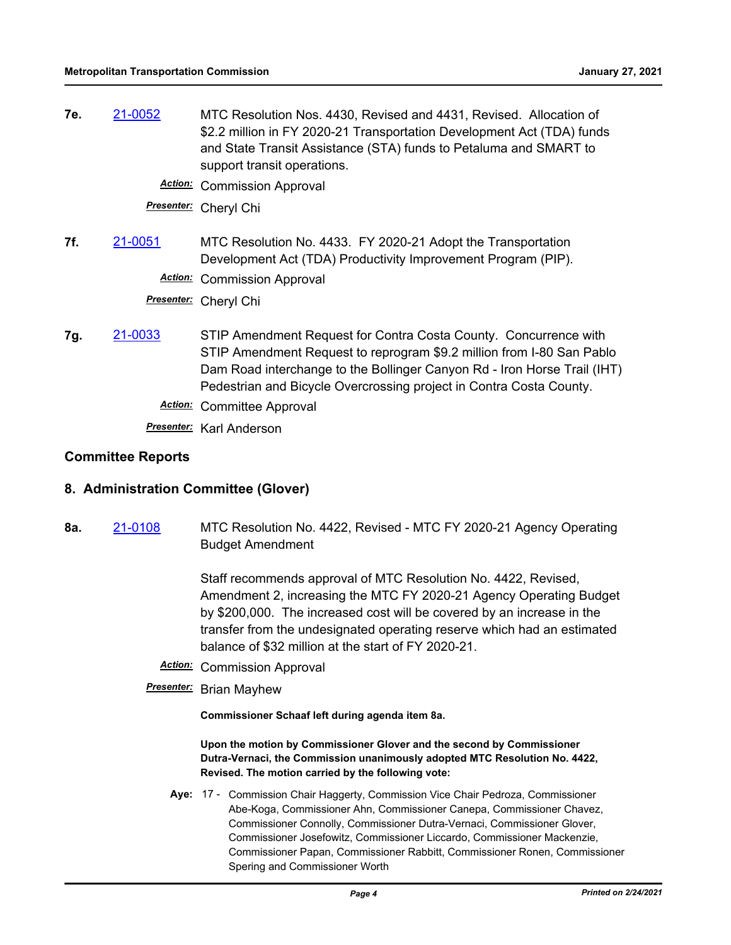**7e.** [21-0052](http://mtc.legistar.com/gateway.aspx?m=l&id=/matter.aspx?key=21645) MTC Resolution Nos. 4430, Revised and 4431, Revised. Allocation of \$2.2 million in FY 2020-21 Transportation Development Act (TDA) funds and State Transit Assistance (STA) funds to Petaluma and SMART to support transit operations.

*Action:* Commission Approval

*Presenter:* Cheryl Chi

**7f.** [21-0051](http://mtc.legistar.com/gateway.aspx?m=l&id=/matter.aspx?key=21644) MTC Resolution No. 4433. FY 2020-21 Adopt the Transportation Development Act (TDA) Productivity Improvement Program (PIP).

*Action:* Commission Approval

*Presenter:* Cheryl Chi

**7g.** [21-0033](http://mtc.legistar.com/gateway.aspx?m=l&id=/matter.aspx?key=21626) STIP Amendment Request for Contra Costa County. Concurrence with STIP Amendment Request to reprogram \$9.2 million from I-80 San Pablo Dam Road interchange to the Bollinger Canyon Rd - Iron Horse Trail (IHT) Pedestrian and Bicycle Overcrossing project in Contra Costa County. *Action:* Committee Approval

*Presenter:* Karl Anderson

#### **Committee Reports**

#### **8. Administration Committee (Glover)**

**8a.** [21-0108](http://mtc.legistar.com/gateway.aspx?m=l&id=/matter.aspx?key=21701) MTC Resolution No. 4422, Revised - MTC FY 2020-21 Agency Operating Budget Amendment

> Staff recommends approval of MTC Resolution No. 4422, Revised, Amendment 2, increasing the MTC FY 2020-21 Agency Operating Budget by \$200,000. The increased cost will be covered by an increase in the transfer from the undesignated operating reserve which had an estimated balance of \$32 million at the start of FY 2020-21.

*Action:* Commission Approval

*Presenter:* Brian Mayhew

**Commissioner Schaaf left during agenda item 8a.**

**Upon the motion by Commissioner Glover and the second by Commissioner Dutra-Vernaci, the Commission unanimously adopted MTC Resolution No. 4422, Revised. The motion carried by the following vote:**

Aye: 17 - Commission Chair Haggerty, Commission Vice Chair Pedroza, Commissioner Abe-Koga, Commissioner Ahn, Commissioner Canepa, Commissioner Chavez, Commissioner Connolly, Commissioner Dutra-Vernaci, Commissioner Glover, Commissioner Josefowitz, Commissioner Liccardo, Commissioner Mackenzie, Commissioner Papan, Commissioner Rabbitt, Commissioner Ronen, Commissioner Spering and Commissioner Worth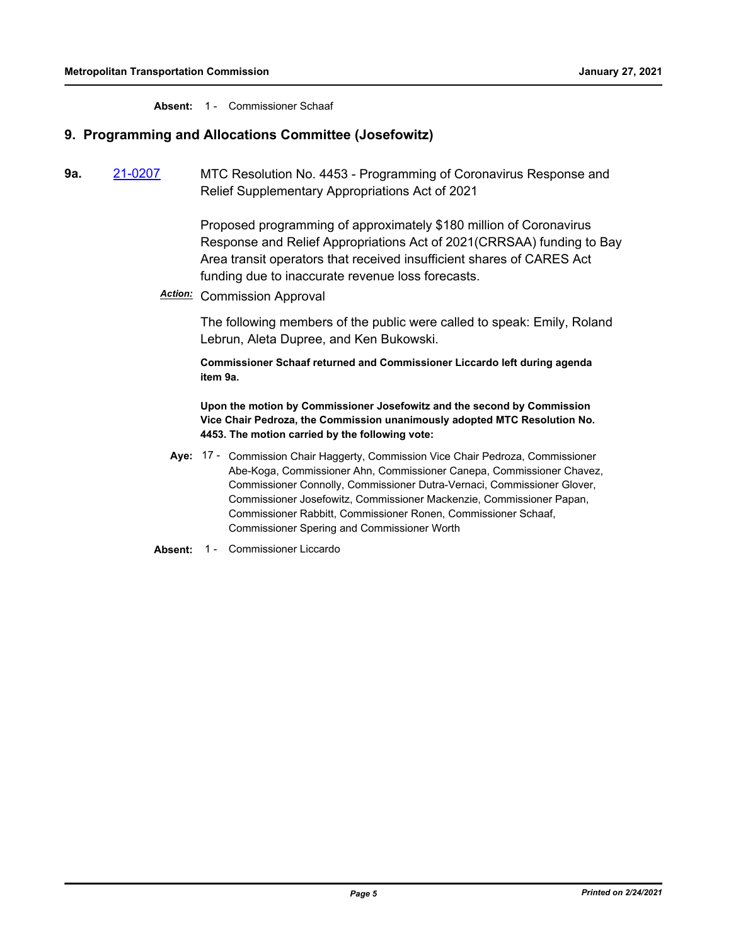**Absent:** 1 - Commissioner Schaaf

## **9. Programming and Allocations Committee (Josefowitz)**

**9a.** [21-0207](http://mtc.legistar.com/gateway.aspx?m=l&id=/matter.aspx?key=21800) MTC Resolution No. 4453 - Programming of Coronavirus Response and Relief Supplementary Appropriations Act of 2021

> Proposed programming of approximately \$180 million of Coronavirus Response and Relief Appropriations Act of 2021(CRRSAA) funding to Bay Area transit operators that received insufficient shares of CARES Act funding due to inaccurate revenue loss forecasts.

*Action:* Commission Approval

The following members of the public were called to speak: Emily, Roland Lebrun, Aleta Dupree, and Ken Bukowski.

**Commissioner Schaaf returned and Commissioner Liccardo left during agenda item 9a.**

**Upon the motion by Commissioner Josefowitz and the second by Commission Vice Chair Pedroza, the Commission unanimously adopted MTC Resolution No. 4453. The motion carried by the following vote:**

- Aye: 17 Commission Chair Haggerty, Commission Vice Chair Pedroza, Commissioner Abe-Koga, Commissioner Ahn, Commissioner Canepa, Commissioner Chavez, Commissioner Connolly, Commissioner Dutra-Vernaci, Commissioner Glover, Commissioner Josefowitz, Commissioner Mackenzie, Commissioner Papan, Commissioner Rabbitt, Commissioner Ronen, Commissioner Schaaf, Commissioner Spering and Commissioner Worth
- Absent: 1 Commissioner Liccardo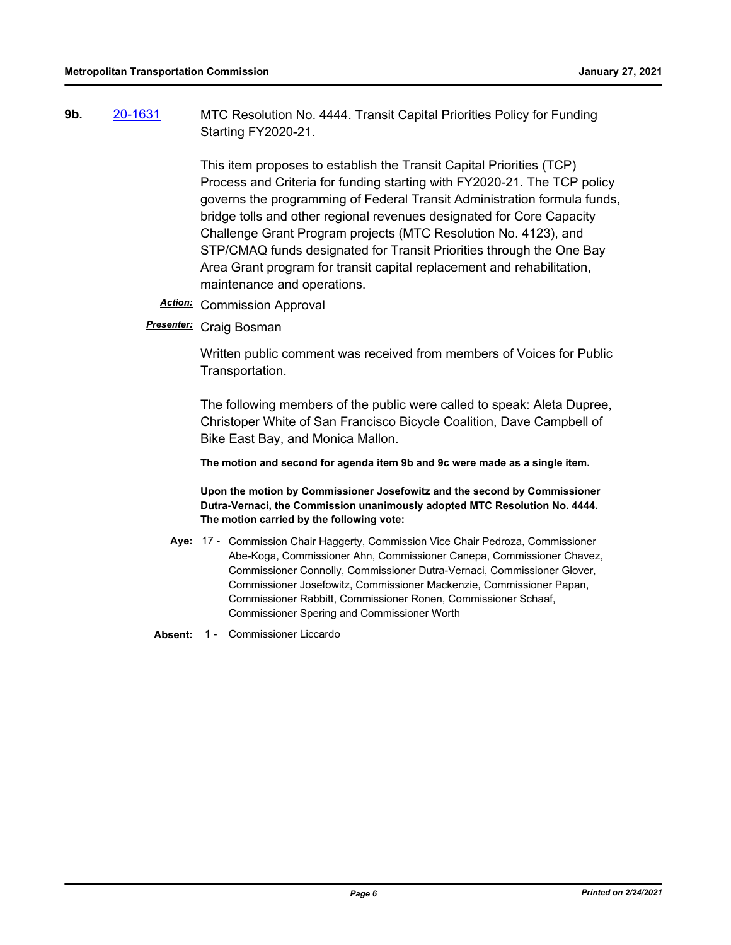**9b.** [20-1631](http://mtc.legistar.com/gateway.aspx?m=l&id=/matter.aspx?key=21496) MTC Resolution No. 4444. Transit Capital Priorities Policy for Funding Starting FY2020-21.

> This item proposes to establish the Transit Capital Priorities (TCP) Process and Criteria for funding starting with FY2020-21. The TCP policy governs the programming of Federal Transit Administration formula funds, bridge tolls and other regional revenues designated for Core Capacity Challenge Grant Program projects (MTC Resolution No. 4123), and STP/CMAQ funds designated for Transit Priorities through the One Bay Area Grant program for transit capital replacement and rehabilitation, maintenance and operations.

- *Action:* Commission Approval
- *Presenter:* Craig Bosman

Written public comment was received from members of Voices for Public Transportation.

The following members of the public were called to speak: Aleta Dupree, Christoper White of San Francisco Bicycle Coalition, Dave Campbell of Bike East Bay, and Monica Mallon.

**The motion and second for agenda item 9b and 9c were made as a single item.**

**Upon the motion by Commissioner Josefowitz and the second by Commissioner Dutra-Vernaci, the Commission unanimously adopted MTC Resolution No. 4444. The motion carried by the following vote:**

- Aye: 17 Commission Chair Haggerty, Commission Vice Chair Pedroza, Commissioner Abe-Koga, Commissioner Ahn, Commissioner Canepa, Commissioner Chavez, Commissioner Connolly, Commissioner Dutra-Vernaci, Commissioner Glover, Commissioner Josefowitz, Commissioner Mackenzie, Commissioner Papan, Commissioner Rabbitt, Commissioner Ronen, Commissioner Schaaf, Commissioner Spering and Commissioner Worth
- Absent: 1 Commissioner Liccardo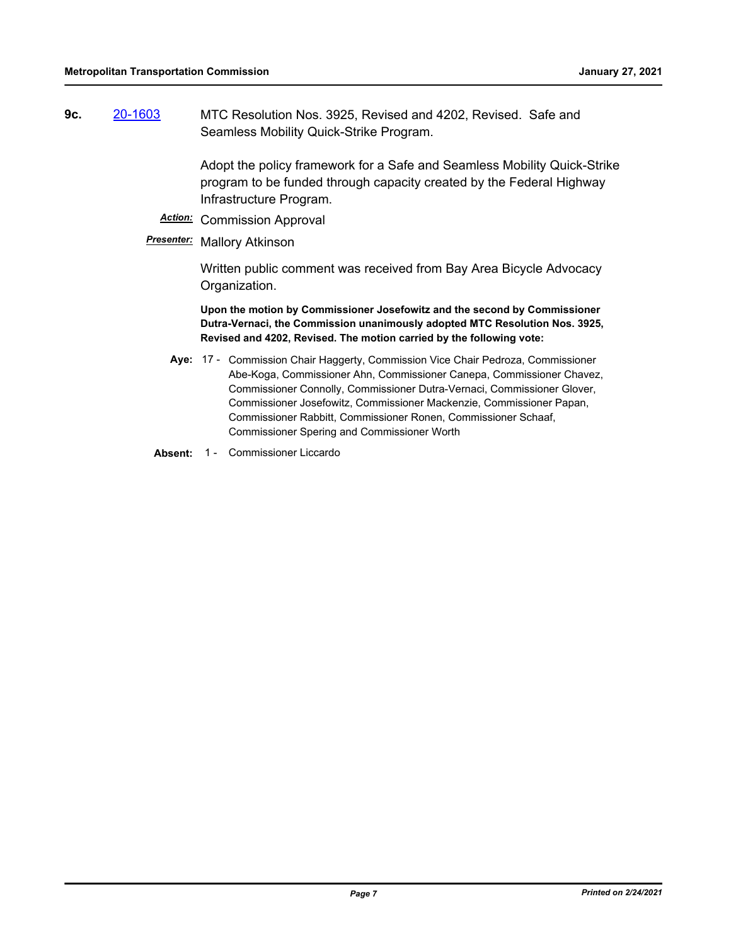**9c.** [20-1603](http://mtc.legistar.com/gateway.aspx?m=l&id=/matter.aspx?key=21468) MTC Resolution Nos. 3925, Revised and 4202, Revised. Safe and Seamless Mobility Quick-Strike Program.

> Adopt the policy framework for a Safe and Seamless Mobility Quick-Strike program to be funded through capacity created by the Federal Highway Infrastructure Program.

*Action:* Commission Approval

#### *Presenter:* Mallory Atkinson

Written public comment was received from Bay Area Bicycle Advocacy Organization.

**Upon the motion by Commissioner Josefowitz and the second by Commissioner Dutra-Vernaci, the Commission unanimously adopted MTC Resolution Nos. 3925, Revised and 4202, Revised. The motion carried by the following vote:**

- Aye: 17 Commission Chair Haggerty, Commission Vice Chair Pedroza, Commissioner Abe-Koga, Commissioner Ahn, Commissioner Canepa, Commissioner Chavez, Commissioner Connolly, Commissioner Dutra-Vernaci, Commissioner Glover, Commissioner Josefowitz, Commissioner Mackenzie, Commissioner Papan, Commissioner Rabbitt, Commissioner Ronen, Commissioner Schaaf, Commissioner Spering and Commissioner Worth
- Absent: 1 Commissioner Liccardo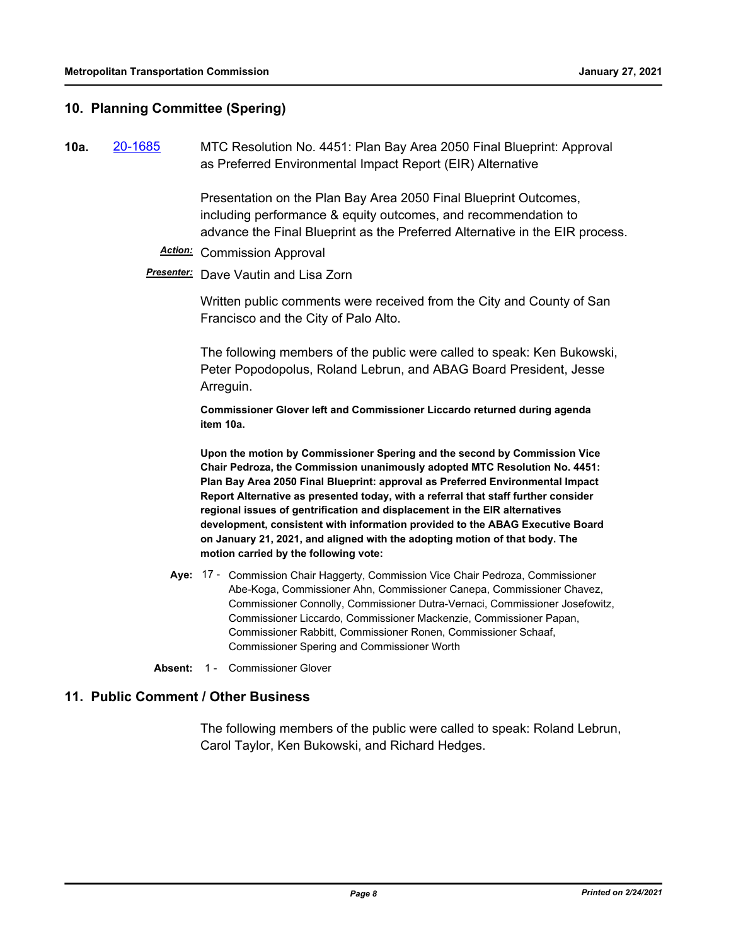## **10. Planning Committee (Spering)**

**10a.** [20-1685](http://mtc.legistar.com/gateway.aspx?m=l&id=/matter.aspx?key=21550) MTC Resolution No. 4451: Plan Bay Area 2050 Final Blueprint: Approval as Preferred Environmental Impact Report (EIR) Alternative

> Presentation on the Plan Bay Area 2050 Final Blueprint Outcomes, including performance & equity outcomes, and recommendation to advance the Final Blueprint as the Preferred Alternative in the EIR process.

#### *Action:* Commission Approval

*Presenter:* Dave Vautin and Lisa Zorn

Written public comments were received from the City and County of San Francisco and the City of Palo Alto.

The following members of the public were called to speak: Ken Bukowski, Peter Popodopolus, Roland Lebrun, and ABAG Board President, Jesse Arreguin.

**Commissioner Glover left and Commissioner Liccardo returned during agenda item 10a.**

**Upon the motion by Commissioner Spering and the second by Commission Vice Chair Pedroza, the Commission unanimously adopted MTC Resolution No. 4451: Plan Bay Area 2050 Final Blueprint: approval as Preferred Environmental Impact Report Alternative as presented today, with a referral that staff further consider regional issues of gentrification and displacement in the EIR alternatives development, consistent with information provided to the ABAG Executive Board on January 21, 2021, and aligned with the adopting motion of that body. The motion carried by the following vote:**

- Aye: 17 Commission Chair Haggerty, Commission Vice Chair Pedroza, Commissioner Abe-Koga, Commissioner Ahn, Commissioner Canepa, Commissioner Chavez, Commissioner Connolly, Commissioner Dutra-Vernaci, Commissioner Josefowitz, Commissioner Liccardo, Commissioner Mackenzie, Commissioner Papan, Commissioner Rabbitt, Commissioner Ronen, Commissioner Schaaf, Commissioner Spering and Commissioner Worth
- **Absent:** 1 Commissioner Glover

#### **11. Public Comment / Other Business**

The following members of the public were called to speak: Roland Lebrun, Carol Taylor, Ken Bukowski, and Richard Hedges.